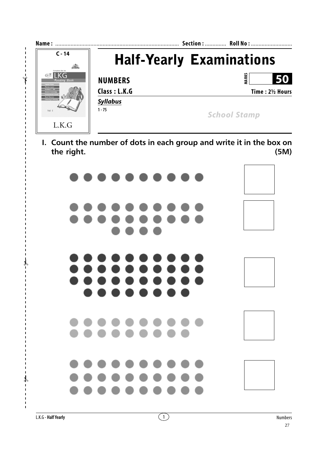

**I. Count the number of dots in each group and write it in the box on the right. (5M)**



 $\mathcal{V}$ 

 $\overline{\phantom{a}}$  $\overline{\phantom{a}}$  $\blacksquare$ 

✃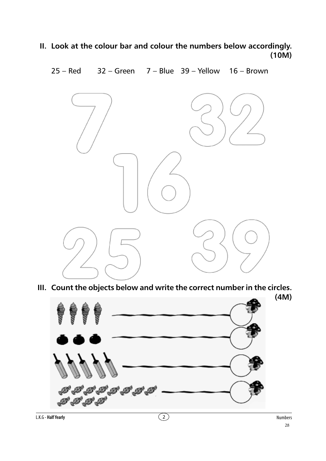**II. Look at the colour bar and colour the numbers below accordingly. (10M)**



**III. Count the objects below and write the correct number in the circles.**

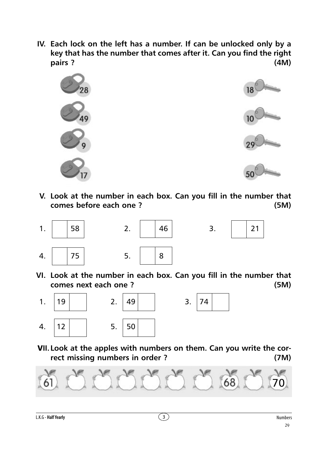**IV. Each lock on the left has a number. If can be unlocked only by a key that has the number that comes after it. Can you find the right pairs ? (4M)**



**V. Look at the number in each box. Can you fill in the number that comes before each one ? (5M)**





**VI. Look at the number in each box. Can you fill in the number that comes next each one ? (5M)**



 V**II.Look at the apples with numbers on them. Can you write the correct missing numbers in order ? (7M)**